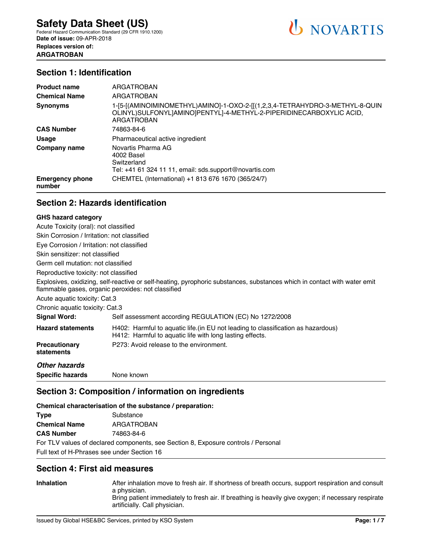### **Section 1: Identification**

| <b>Product name</b>              | ARGATROBAN                                                                                                                                                                |
|----------------------------------|---------------------------------------------------------------------------------------------------------------------------------------------------------------------------|
| <b>Chemical Name</b>             | ARGATROBAN                                                                                                                                                                |
| <b>Synonyms</b>                  | 1-[5-[(AMINOIMINOMETHYL)AMINO]-1-OXO-2-[[(1,2,3,4-TETRAHYDRO-3-METHYL-8-QUIN<br>OLINYL) SULFONYL]AMINO]PENTYL]-4-METHYL-2-PIPERIDINECARBOXYLIC ACID,<br><b>ARGATROBAN</b> |
| <b>CAS Number</b>                | 74863-84-6                                                                                                                                                                |
| <b>Usage</b>                     | Pharmaceutical active ingredient                                                                                                                                          |
| Company name                     | Novartis Pharma AG<br>4002 Basel<br>Switzerland<br>Tel: +41 61 324 11 11, email: sds.support@novartis.com                                                                 |
| <b>Emergency phone</b><br>number | CHEMTEL (International) +1 813 676 1670 (365/24/7)                                                                                                                        |

# **Section 2: Hazards identification**

#### **GHS hazard category**

| Acute Toxicity (oral): not classified       |                                                                                                                                                                                |
|---------------------------------------------|--------------------------------------------------------------------------------------------------------------------------------------------------------------------------------|
| Skin Corrosion / Irritation: not classified |                                                                                                                                                                                |
| Eye Corrosion / Irritation: not classified  |                                                                                                                                                                                |
| Skin sensitizer: not classified             |                                                                                                                                                                                |
| Germ cell mutation: not classified          |                                                                                                                                                                                |
| Reproductive toxicity: not classified       |                                                                                                                                                                                |
|                                             | Explosives, oxidizing, self-reactive or self-heating, pyrophoric substances, substances which in contact with water emit<br>flammable gases, organic peroxides: not classified |
| Acute aguatic toxicity: Cat.3               |                                                                                                                                                                                |
| Chronic aquatic toxicity: Cat.3             |                                                                                                                                                                                |
| Signal Word:                                | Self assessment according REGULATION (EC) No 1272/2008                                                                                                                         |
| <b>Hazard statements</b>                    | H402: Harmful to aquatic life. (in EU not leading to classification as hazardous)<br>H412: Harmful to aquatic life with long lasting effects.                                  |
| <b>Precautionary</b><br>statements          | P273: Avoid release to the environment.                                                                                                                                        |
| <b>Other hazards</b>                        |                                                                                                                                                                                |
| <b>Specific hazards</b>                     | None known                                                                                                                                                                     |

### **Section 3: Composition / information on ingredients**

**Chemical characterisation of the substance / preparation:**

| <b>Type</b>                                                                        | Substance  |  |  |
|------------------------------------------------------------------------------------|------------|--|--|
| <b>Chemical Name</b>                                                               | ARGATROBAN |  |  |
| <b>CAS Number</b>                                                                  | 74863-84-6 |  |  |
| For TLV values of declared components, see Section 8, Exposure controls / Personal |            |  |  |
| Full text of H-Phrases see under Section 16                                        |            |  |  |

### **Section 4: First aid measures**

**Inhalation** After inhalation move to fresh air. If shortness of breath occurs, support respiration and consult a physician. Bring patient immediately to fresh air. If breathing is heavily give oxygen; if necessary respirate artificially. Call physician.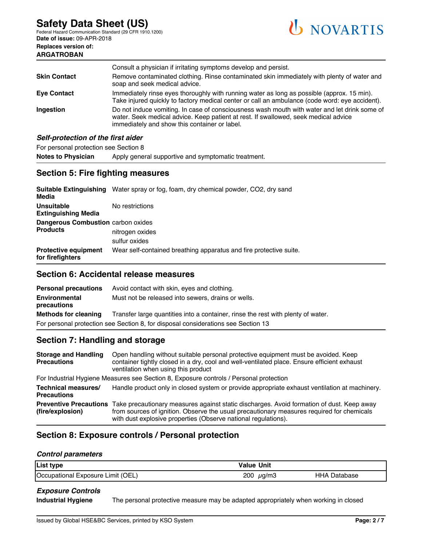**ARGATROBAN**

Federal Hazard Communication Standard (29 CFR 1910.1200) **Date of issue:** 09-APR-2018 **Replaces version of:**



|                                    | Consult a physician if irritating symptoms develop and persist.                                                                                                                                                                      |  |
|------------------------------------|--------------------------------------------------------------------------------------------------------------------------------------------------------------------------------------------------------------------------------------|--|
| <b>Skin Contact</b>                | Remove contaminated clothing. Rinse contaminated skin immediately with plenty of water and<br>soap and seek medical advice.                                                                                                          |  |
| <b>Eye Contact</b>                 | Immediately rinse eyes thoroughly with running water as long as possible (approx. 15 min).<br>Take injured quickly to factory medical center or call an ambulance (code word: eye accident).                                         |  |
| <b>Ingestion</b>                   | Do not induce vomiting. In case of consciousness wash mouth with water and let drink some of<br>water. Seek medical advice. Keep patient at rest. If swallowed, seek medical advice<br>immediately and show this container or label. |  |
| Self-protection of the first aider |                                                                                                                                                                                                                                      |  |

For personal protection see Section 8

Notes to Physician Apply general supportive and symptomatic treatment.

# **Section 5: Fire fighting measures**

| Media                                                        | <b>Suitable Extinguishing</b> Water spray or fog, foam, dry chemical powder, CO2, dry sand |
|--------------------------------------------------------------|--------------------------------------------------------------------------------------------|
| <b>Unsuitable</b><br><b>Extinguishing Media</b>              | No restrictions                                                                            |
| <b>Dangerous Combustion carbon oxides</b><br><b>Products</b> | nitrogen oxides<br>sulfur oxides                                                           |
| <b>Protective equipment</b><br>for firefighters              | Wear self-contained breathing apparatus and fire protective suite.                         |

### **Section 6: Accidental release measures**

| <b>Personal precautions</b>  | Avoid contact with skin, eyes and clothing.                                       |
|------------------------------|-----------------------------------------------------------------------------------|
| Environmental<br>precautions | Must not be released into sewers, drains or wells.                                |
| <b>Methods for cleaning</b>  | Transfer large quantities into a container, rinse the rest with plenty of water.  |
|                              | For personal protection see Section 8, for disposal considerations see Section 13 |

# **Section 7: Handling and storage**

| <b>Storage and Handling</b><br><b>Precautions</b>                                      | Open handling without suitable personal protective equipment must be avoided. Keep<br>container tightly closed in a dry, cool and well-ventilated place. Ensure efficient exhaust<br>ventilation when using this product                                                        |  |  |
|----------------------------------------------------------------------------------------|---------------------------------------------------------------------------------------------------------------------------------------------------------------------------------------------------------------------------------------------------------------------------------|--|--|
| For Industrial Hygiene Measures see Section 8, Exposure controls / Personal protection |                                                                                                                                                                                                                                                                                 |  |  |
| Technical measures/<br><b>Precautions</b>                                              | Handle product only in closed system or provide appropriate exhaust ventilation at machinery.                                                                                                                                                                                   |  |  |
| (fire/explosion)                                                                       | Preventive Precautions Take precautionary measures against static discharges. Avoid formation of dust. Keep away<br>from sources of ignition. Observe the usual precautionary measures required for chemicals<br>with dust explosive properties (Observe national regulations). |  |  |

# **Section 8: Exposure controls / Personal protection**

#### *Control parameters*

| List type                         | Value Unit        |              |  |
|-----------------------------------|-------------------|--------------|--|
| Occupational Exposure Limit (OEL) | 200<br>$\mu$ g/m3 | HHA Database |  |

#### *Exposure Controls*

**Industrial Hygiene** The personal protective measure may be adapted appropriately when working in closed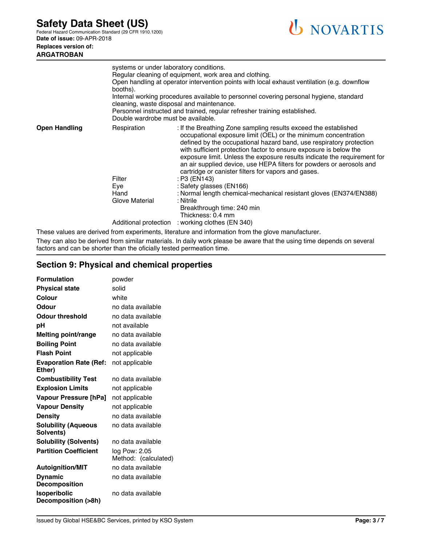Federal Hazard Communication Standard (29 CFR 1910.1200) **Date of issue:** 09-APR-2018 **Replaces version of:**

# **ARGATROBAN**



|                      | systems or under laboratory conditions.<br>Regular cleaning of equipment, work area and clothing.<br>Open handling at operator intervention points with local exhaust ventilation (e.g. downflow<br>booths).<br>Internal working procedures available to personnel covering personal hygiene, standard<br>cleaning, waste disposal and maintenance.<br>Personnel instructed and trained, regular refresher training established.<br>Double wardrobe must be available. |                                                                                                                                                                                                                                                                                                                                                                                                                                                                                                                                                                                                                                                                            |
|----------------------|------------------------------------------------------------------------------------------------------------------------------------------------------------------------------------------------------------------------------------------------------------------------------------------------------------------------------------------------------------------------------------------------------------------------------------------------------------------------|----------------------------------------------------------------------------------------------------------------------------------------------------------------------------------------------------------------------------------------------------------------------------------------------------------------------------------------------------------------------------------------------------------------------------------------------------------------------------------------------------------------------------------------------------------------------------------------------------------------------------------------------------------------------------|
| <b>Open Handling</b> | Respiration<br>Filter<br>Eye<br>Hand<br>Glove Material                                                                                                                                                                                                                                                                                                                                                                                                                 | : If the Breathing Zone sampling results exceed the established<br>occupational exposure limit (OEL) or the minimum concentration<br>defined by the occupational hazard band, use respiratory protection<br>with sufficient protection factor to ensure exposure is below the<br>exposure limit. Unless the exposure results indicate the requirement for<br>an air supplied device, use HEPA filters for powders or aerosols and<br>cartridge or canister filters for vapors and gases.<br>: P3 (EN143)<br>: Safety glasses (EN166)<br>: Normal length chemical-mechanical resistant gloves (EN374/EN388)<br>: Nitrile<br>Breakthrough time: 240 min<br>Thickness: 0.4 mm |
|                      |                                                                                                                                                                                                                                                                                                                                                                                                                                                                        | Additional protection : working clothes (EN 340)                                                                                                                                                                                                                                                                                                                                                                                                                                                                                                                                                                                                                           |

These values are derived from experiments, literature and information from the glove manufacturer.

They can also be derived from similar materials. In daily work please be aware that the using time depends on several factors and can be shorter than the oficially tested permeation time.

# **Section 9: Physical and chemical properties**

| <b>Formulation</b>                         | powder                                |
|--------------------------------------------|---------------------------------------|
| <b>Physical state</b>                      | solid                                 |
| Colour                                     | white                                 |
| Odour                                      | no data available                     |
| <b>Odour threshold</b>                     | no data available                     |
| рH                                         | not available                         |
| Melting point/range                        | no data available                     |
| <b>Boiling Point</b>                       | no data available                     |
| <b>Flash Point</b>                         | not applicable                        |
| <b>Evaporation Rate (Ref:</b><br>Ether)    | not applicable                        |
| <b>Combustibility Test</b>                 | no data available                     |
| <b>Explosion Limits</b>                    | not applicable                        |
| Vapour Pressure [hPa]                      | not applicable                        |
| <b>Vapour Density</b>                      | not applicable                        |
| <b>Density</b>                             | no data available                     |
| <b>Solubility (Aqueous</b><br>Solvents)    | no data available                     |
| <b>Solubility (Solvents)</b>               | no data available                     |
| <b>Partition Coefficient</b>               | log Pow: 2.05<br>Method: (calculated) |
| <b>Autoignition/MIT</b>                    | no data available                     |
| <b>Dynamic</b><br><b>Decomposition</b>     | no data available                     |
| <b>Isoperibolic</b><br>Decomposition (>8h) | no data available                     |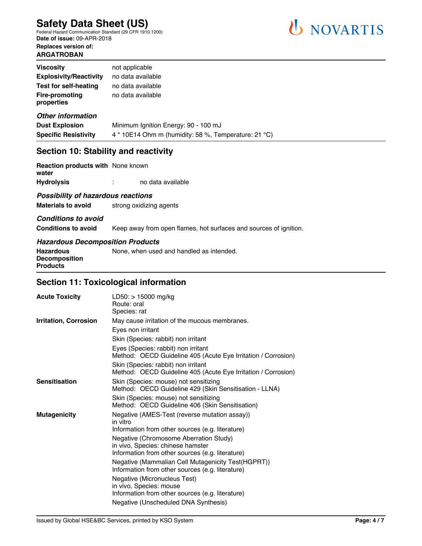Federal Hazard Communication Standard (29 CFR 1910.1200) **Date of issue:** 09-APR-2018 **Replaces version of: ARGATROBAN**



| <b>Viscosity</b>                    | not applicable                       |
|-------------------------------------|--------------------------------------|
| <b>Explosivity/Reactivity</b>       | no data available                    |
| <b>Test for self-heating</b>        | no data available                    |
| <b>Fire-promoting</b><br>properties | no data available                    |
| <b>Other information</b>            |                                      |
| <b>Dust Explosion</b>               | Minimum Ignition Energy: 90 - 100 mJ |

# **Specific Resistivity** 4 \* 10E14 Ohm m (humidity: 58 %, Temperature: 21 °C)

### **Section 10: Stability and reactivity**

| <b>Reaction products with None known</b><br>water |        |                   |
|---------------------------------------------------|--------|-------------------|
| Hvdrolvsis                                        | ٠<br>٠ | no data available |

#### *Possibility of hazardous reactions*

**Materials to avoid** strong oxidizing agents

#### *Conditions to avoid*

**Conditions to avoid** Keep away from open flames, hot surfaces and sources of ignition.

#### *Hazardous Decomposition Products*

| Hazardous                               | None, when used and handled as intended. |
|-----------------------------------------|------------------------------------------|
| <b>Decomposition</b><br><b>Products</b> |                                          |

# **Section 11: Toxicological information**

| <b>Acute Toxicity</b>        | $LD50:$ > 15000 mg/kg<br>Route: oral<br>Species: rat                                                        |
|------------------------------|-------------------------------------------------------------------------------------------------------------|
| <b>Irritation, Corrosion</b> | May cause irritation of the mucous membranes.                                                               |
|                              | Eyes non irritant                                                                                           |
|                              | Skin (Species: rabbit) non irritant                                                                         |
|                              | Eyes (Species: rabbit) non irritant<br>Method: OECD Guideline 405 (Acute Eye Irritation / Corrosion)        |
|                              | Skin (Species: rabbit) non irritant<br>Method: OECD Guideline 405 (Acute Eye Irritation / Corrosion)        |
| <b>Sensitisation</b>         | Skin (Species: mouse) not sensitizing<br>Method: OECD Guideline 429 (Skin Sensitisation - LLNA)             |
|                              | Skin (Species: mouse) not sensitizing<br>Method: OECD Guideline 406 (Skin Sensitisation)                    |
| <b>Mutagenicity</b>          | Negative (AMES-Test (reverse mutation assay))<br>in vitro                                                   |
|                              | Information from other sources (e.g. literature)                                                            |
|                              | Negative (Chromosome Aberration Study)                                                                      |
|                              | in vivo, Species: chinese hamster<br>Information from other sources (e.g. literature)                       |
|                              | Negative (Mammalian Cell Mutagenicity Test(HGPRT))<br>Information from other sources (e.g. literature)      |
|                              | Negative (Micronucleus Test)<br>in vivo, Species: mouse<br>Information from other sources (e.g. literature) |
|                              | Negative (Unscheduled DNA Synthesis)                                                                        |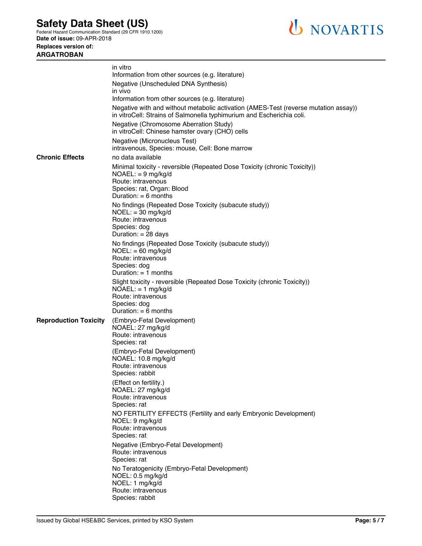Federal Hazard Communication Standard (29 CFR 1910.1200) **Date of issue:** 09-APR-2018

**Replaces version of: ARGATROBAN**



|                              | in vitro<br>Information from other sources (e.g. literature)                                                                                                                    |
|------------------------------|---------------------------------------------------------------------------------------------------------------------------------------------------------------------------------|
|                              | Negative (Unscheduled DNA Synthesis)                                                                                                                                            |
|                              | in vivo                                                                                                                                                                         |
|                              | Information from other sources (e.g. literature)                                                                                                                                |
|                              | Negative with and without metabolic activation (AMES-Test (reverse mutation assay))<br>in vitroCell: Strains of Salmonella typhimurium and Escherichia coli.                    |
|                              | Negative (Chromosome Aberration Study)<br>in vitroCell: Chinese hamster ovary (CHO) cells                                                                                       |
|                              | Negative (Micronucleus Test)<br>intravenous, Species: mouse, Cell: Bone marrow                                                                                                  |
| <b>Chronic Effects</b>       | no data available                                                                                                                                                               |
|                              | Minimal toxicity - reversible (Repeated Dose Toxicity (chronic Toxicity))<br>$NOAEL: = 9 mg/kg/d$<br>Route: intravenous<br>Species: rat, Organ: Blood<br>Duration: $= 6$ months |
|                              | No findings (Repeated Dose Toxicity (subacute study))<br>$NOEL: = 30$ mg/kg/d<br>Route: intravenous<br>Species: dog                                                             |
|                              | Duration: $= 28$ days                                                                                                                                                           |
|                              | No findings (Repeated Dose Toxicity (subacute study))<br>$NOEL: = 60$ mg/kg/d<br>Route: intravenous<br>Species: dog<br>Duration: $= 1$ months                                   |
|                              | Slight toxicity - reversible (Repeated Dose Toxicity (chronic Toxicity))<br>$NOAEL: = 1 mg/kg/d$<br>Route: intravenous                                                          |
|                              | Species: dog<br>Duration: $= 6$ months                                                                                                                                          |
| <b>Reproduction Toxicity</b> | (Embryo-Fetal Development)<br>NOAEL: 27 mg/kg/d<br>Route: intravenous                                                                                                           |
|                              | Species: rat                                                                                                                                                                    |
|                              | (Embryo-Fetal Development)<br>NOAEL: 10.8 mg/kg/d<br>Route: intravenous<br>Species: rabbit                                                                                      |
|                              | (Effect on fertility.)<br>NOAEL: 27 mg/kg/d<br>Route: intravenous<br>Species: rat                                                                                               |
|                              | NO FERTILITY EFFECTS (Fertility and early Embryonic Development)<br>NOEL: 9 mg/kg/d<br>Route: intravenous<br>Species: rat                                                       |
|                              | Negative (Embryo-Fetal Development)<br>Route: intravenous<br>Species: rat                                                                                                       |
|                              | No Teratogenicity (Embryo-Fetal Development)<br>NOEL: 0.5 mg/kg/d<br>NOEL: 1 mg/kg/d<br>Route: intravenous<br>Species: rabbit                                                   |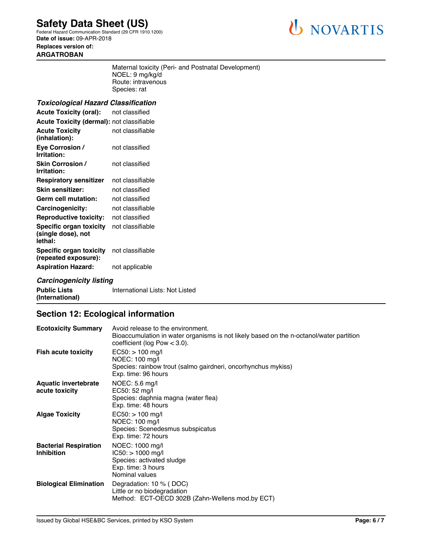Federal Hazard Communication Standard (29 CFR 1910.1200) **Date of issue:** 09-APR-2018 **Replaces version of: ARGATROBAN**



Maternal toxicity (Peri- and Postnatal Development) NOEL: 9 mg/kg/d Route: intravenous Species: rat

#### *Toxicological Hazard Classification*

| <b>Acute Toxicity (oral):</b>                            | not classified   |  |
|----------------------------------------------------------|------------------|--|
| <b>Acute Toxicity (dermal): not classifiable</b>         |                  |  |
| <b>Acute Toxicity</b><br>(inhalation):                   | not classifiable |  |
| Eye Corrosion /<br>Irritation:                           | not classified   |  |
| <b>Skin Corrosion /</b><br>Irritation:                   | not classified   |  |
| <b>Respiratory sensitizer</b>                            | not classifiable |  |
| Skin sensitizer:                                         | not classified   |  |
| Germ cell mutation:                                      | not classified   |  |
| Carcinogenicity:                                         | not classifiable |  |
| <b>Reproductive toxicity:</b>                            | not classified   |  |
| Specific organ toxicity<br>(single dose), not<br>lethal: | not classifiable |  |
| Specific organ toxicity<br>(repeated exposure):          | not classifiable |  |
| <b>Aspiration Hazard:</b>                                | not applicable   |  |

### *Carcinogenicity listing*

**Public Lists (International)** International Lists: Not Listed

# **Section 12: Ecological information**

| <b>Ecotoxicity Summary</b>                        | Avoid release to the environment.<br>Bioaccumulation in water organisms is not likely based on the n-octanol/water partition<br>coefficient (log Pow $<$ 3.0). |
|---------------------------------------------------|----------------------------------------------------------------------------------------------------------------------------------------------------------------|
| <b>Fish acute toxicity</b>                        | $EC50:$ > 100 mg/l<br>NOEC: 100 mg/l<br>Species: rainbow trout (salmo gairdneri, oncorhynchus mykiss)<br>Exp. time: 96 hours                                   |
| <b>Aquatic invertebrate</b><br>acute toxicity     | NOEC: 5.6 mg/l<br>EC50: 52 mg/l<br>Species: daphnia magna (water flea)<br>Exp. time: 48 hours                                                                  |
| <b>Algae Toxicity</b>                             | $EC50:$ > 100 mg/l<br>NOEC: 100 mg/l<br>Species: Scenedesmus subspicatus<br>Exp. time: 72 hours                                                                |
| <b>Bacterial Respiration</b><br><b>Inhibition</b> | NOEC: 1000 mg/l<br>$IC50:$ > 1000 mg/l<br>Species: activated sludge<br>Exp. time: 3 hours<br>Nominal values                                                    |
| <b>Biological Elimination</b>                     | Degradation: 10 % (DOC)<br>Little or no biodegradation<br>Method: ECT-OECD 302B (Zahn-Wellens mod.by ECT)                                                      |